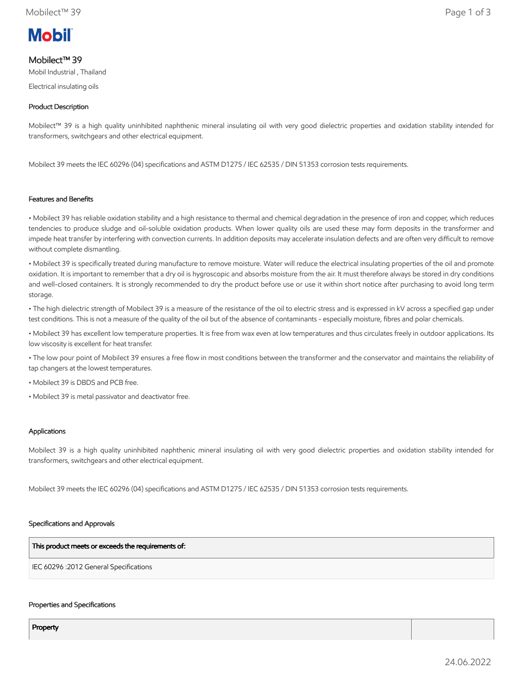

# Mobilect™ 39

Mobil Industrial , Thailand

Electrical insulating oils

## Product Description

Mobilect™ 39 is a high quality uninhibited naphthenic mineral insulating oil with very good dielectric properties and oxidation stability intended for transformers, switchgears and other electrical equipment.

Mobilect 39 meets the IEC 60296 (04) specifications and ASTM D1275 / IEC 62535 / DIN 51353 corrosion tests requirements.

### Features and Benefits

• Mobilect 39 has reliable oxidation stability and a high resistance to thermal and chemical degradation in the presence of iron and copper, which reduces tendencies to produce sludge and oil-soluble oxidation products. When lower quality oils are used these may form deposits in the transformer and impede heat transfer by interfering with convection currents. In addition deposits may accelerate insulation defects and are often very difficult to remove without complete dismantling.

• Mobilect 39 is specifically treated during manufacture to remove moisture. Water will reduce the electrical insulating properties of the oil and promote oxidation. It is important to remember that a dry oil is hygroscopic and absorbs moisture from the air. It must therefore always be stored in dry conditions and well-closed containers. It is strongly recommended to dry the product before use or use it within short notice after purchasing to avoid long term storage.

• The high dielectric strength of Mobilect 39 is a measure of the resistance of the oil to electric stress and is expressed in kV across a specified gap under test conditions. This is not a measure of the quality of the oil but of the absence of contaminants - especially moisture, fibres and polar chemicals.

• Mobilect 39 has excellent low temperature properties. It is free from wax even at low temperatures and thus circulates freely in outdoor applications. Its low viscosity is excellent for heat transfer.

• The low pour point of Mobilect 39 ensures a free flow in most conditions between the transformer and the conservator and maintains the reliability of tap changers at the lowest temperatures.

• Mobilect 39 is DBDS and PCB free.

• Mobilect 39 is metal passivator and deactivator free.

### Applications

Mobilect 39 is a high quality uninhibited naphthenic mineral insulating oil with very good dielectric properties and oxidation stability intended for transformers, switchgears and other electrical equipment.

Mobilect 39 meets the IEC 60296 (04) specifications and ASTM D1275 / IEC 62535 / DIN 51353 corrosion tests requirements.

### Specifications and Approvals

This product meets or exceeds the requirements of:

IEC 60296 :2012 General Specifications

#### Properties and Specifications

Property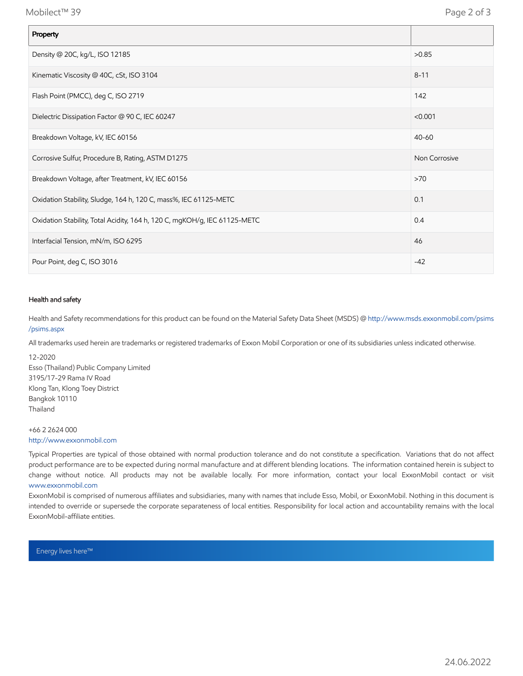Mobilect™ 39 Page 2 of 3

| Property                                                                  |               |
|---------------------------------------------------------------------------|---------------|
| Density @ 20C, kg/L, ISO 12185                                            | >0.85         |
| Kinematic Viscosity @ 40C, cSt, ISO 3104                                  | $8 - 11$      |
| Flash Point (PMCC), deg C, ISO 2719                                       | 142           |
| Dielectric Dissipation Factor @ 90 C, IEC 60247                           | < 0.001       |
| Breakdown Voltage, kV, IEC 60156                                          | $40 - 60$     |
| Corrosive Sulfur, Procedure B, Rating, ASTM D1275                         | Non Corrosive |
| Breakdown Voltage, after Treatment, kV, IEC 60156                         | >70           |
| Oxidation Stability, Sludge, 164 h, 120 C, mass%, IEC 61125-METC          | 0.1           |
| Oxidation Stability, Total Acidity, 164 h, 120 C, mgKOH/g, IEC 61125-METC | 0.4           |
| Interfacial Tension, mN/m, ISO 6295                                       | 46            |
| Pour Point, deg C, ISO 3016                                               | $-42$         |

### Health and safety

Health and Safety recommendations for this product can be found on the Material Safety Data Sheet (MSDS) @ [http://www.msds.exxonmobil.com/psims](http://www.msds.exxonmobil.com/psims/psims.aspx) /psims.aspx

All trademarks used herein are trademarks or registered trademarks of Exxon Mobil Corporation or one of its subsidiaries unless indicated otherwise.

12-2020 Esso (Thailand) Public Company Limited 3195/17-29 Rama IV Road Klong Tan, Klong Toey District Bangkok 10110 Thailand

#### +66 2 2624 000 [http://www.exxonmobil.com](http://www.exxonmobil.com/)

Typical Properties are typical of those obtained with normal production tolerance and do not constitute a specification. Variations that do not affect product performance are to be expected during normal manufacture and at different blending locations. The information contained herein is subject to change without notice. All products may not be available locally. For more information, contact your local ExxonMobil contact or visit [www.exxonmobil.com](http://www.exxonmobil.com/)

ExxonMobil is comprised of numerous affiliates and subsidiaries, many with names that include Esso, Mobil, or ExxonMobil. Nothing in this document is intended to override or supersede the corporate separateness of local entities. Responsibility for local action and accountability remains with the local ExxonMobil-affiliate entities.

Energy lives here™